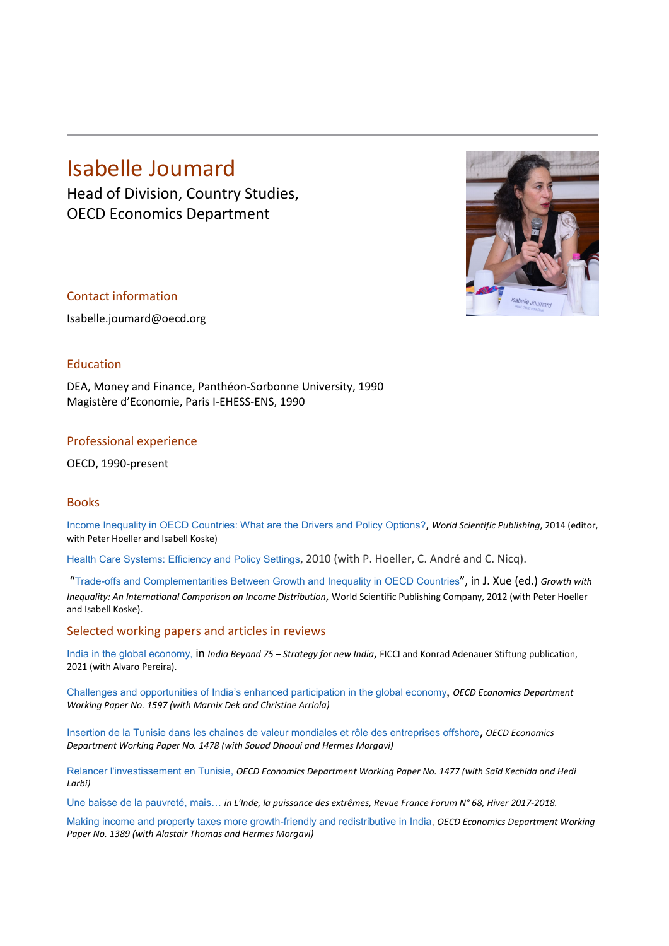# Isabelle Joumard

Head of Division, Country Studies, OECD Economics Department



### Contact information

Isabelle.joumard@oecd.org

## Education

DEA, Money and Finance, Panthéon-Sorbonne University, 1990 Magistère d'Economie, Paris I-EHESS-ENS, 1990

#### Professional experience

OECD, 1990-present

## Books

Income Inequality in OECD Countries: What are the Drivers and Policy Options?, *World Scientific Publishing*, 2014 (editor, with Peter Hoeller and Isabell Koske)

[Health Care Systems: Efficiency and Policy Settings](http://www.oecd.org/document/39/0,3746,en_2649_33733_46491431_1_1_1_1,00.html), 2010 (with P. Hoeller, C. André and C. Nicq).

"Trade-offs and Complementarities Between Growth and Inequality in OECD Countries", in J. Xue (ed.) *Growth with Inequality: An International Comparison on Income Distribution*, World Scientific Publishing Company, 2012 (with Peter Hoeller and Isabell Koske).

#### Selected working papers and articles in reviews

India in the global economy, in *India Beyond 75 – Strategy for new India*, FICCI and Konrad Adenauer Stiftung publication, 2021 (with Alvaro Pereira).

[Challenges and opportunities of India's enhanced participation in the global economy](https://www.oecd-ilibrary.org/economics/challenges-and-opportunities-of-india-s-enhanced-participation-in-the-global-economy_a6facd16-en), *OECD Economics Department Working Paper No. 1597 (with Marnix Dek and Christine Arriola)*

[Insertion de la Tunisie dans les chaines de valeur mondiales et rôle des entreprises offshore](https://www.oecd-ilibrary.org/economics/insertion-de-la-tunisie-dans-les-chaines-de-valeur-mondiales-et-role-des-entreprises-offshore_546dbd75-fr), *OECD Economics Department Working Paper No. 1478 (with Souad Dhaoui and Hermes Morgavi)*

[Relancer l'investissement en Tunisie,](https://www.oecd-ilibrary.org/economics/relancer-l-investissement-en-tunisie_55b4653d-fr) *OECD Economics Department Working Paper No. 1477 (with Saïd Kechida and Hedi Larbi)*

Une baisse de la pauvreté, mais… *in L'Inde, la puissance des extrêmes, Revue France Forum N° 68, Hiver 2017-2018.*

[Making income and property taxes more growth-friendly and redistributive in India,](http://www.oecd-ilibrary.org/economics/making-income-and-property-taxes-more-growth-friendly-and-redistributive-in-india_5e542f11-en) *OECD Economics Department Working Paper No. 1389 (with Alastair Thomas and Hermes Morgavi)*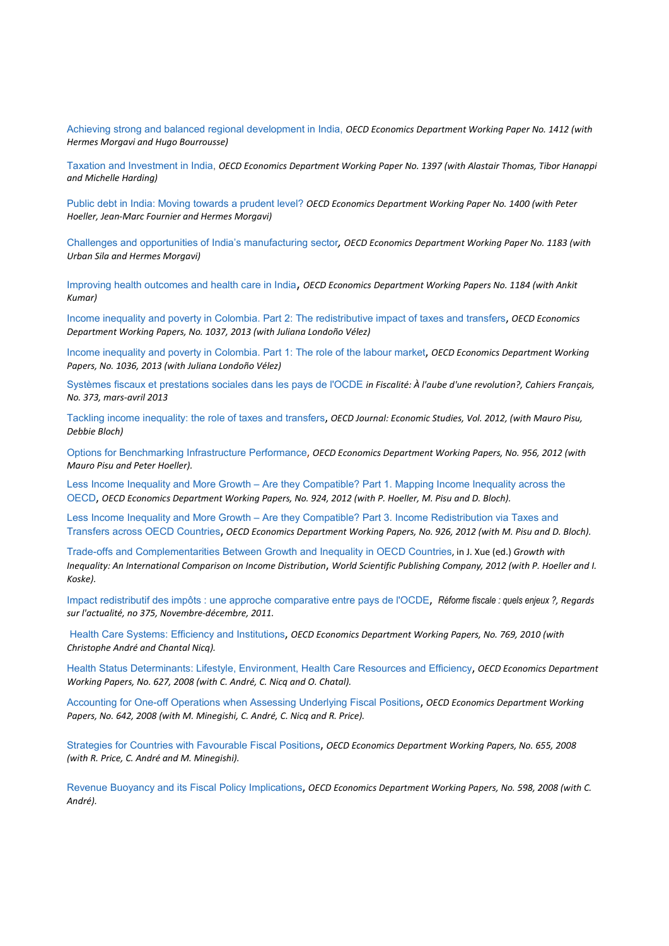[Achieving strong and balanced regional development in India,](http://www.oecd-ilibrary.org/economics/achieving-strong-and-balanced-regional-development-in-india_92fd16d9-en) *OECD Economics Department Working Paper No. 1412 (with Hermes Morgavi and Hugo Bourrousse)*

[Taxation and Investment in India,](http://www.oecd-ilibrary.org/economics/taxation-and-investment-in-india_4258e11a-en) *OECD Economics Department Working Paper No. 1397 (with Alastair Thomas, Tibor Hanappi and Michelle Harding)*

[Public debt in India: Moving towards a prudent level?](http://www.oecd-ilibrary.org/economics/public-debt-in-india_853c014a-en) *OECD Economics Department Working Paper No. 1400 (with Peter Hoeller, Jean-Marc Fournier and Hermes Morgavi)*

[Challenges and opportunities of India's manufacturing sector](http://dx.doi.org/10.1787/5js7t9q14m0q-en)*, OECD Economics Department Working Paper No. 1183 (with Urban Sila and Hermes Morgavi)*

[Improving health outcomes and health care in India](http://dx.doi.org/10.1787/5js7t9ptcr26-en), *OECD Economics Department Working Papers No. 1184 (with Ankit Kumar)*

[Income inequality and poverty in Colombia. Part 2: The redistributive impact of taxes and transfers](http://www.oecd-ilibrary.org/economics/income-inequality-and-poverty-in-colombia-part-2-the-redistributive-impact-of-taxes-and-transfers_5k487n4r0t8s-en), *OECD Economics Department Working Papers, No. 1037, 2013 (with Juliana Londoño Vélez)*

[Income inequality and poverty in Colombia. Part 1: The role of the labour market](http://www.oecd-ilibrary.org/economics/income-inequality-and-poverty-in-colombia-part-1-the-role-of-the-labour-market_5k487n74s1f1-en), *OECD Economics Department Working Papers, No. 1036, 2013 (with Juliana Londoño Vélez)*

Systèmes fiscaux et prestations sociales dans les pays de l'OCDE *in Fiscalité: À l'aube d'une revolution?, Cahiers Français, No. 373, mars-avril 2013*

[Tackling income inequality: the role of taxes and transfers](http://www.oecd.org/eco/public-finance/TacklingincomeinequalityTheroleoftaxesandtransfers.pdf), *OECD Journal: Economic Studies, Vol. 2012, (with Mauro Pisu, Debbie Bloch)*

[Options for Benchmarking Infrastructure Performance](http://www.oecd-ilibrary.org/economics/options-for-benchmarking-infrastructure-performance_5k9b7bnbxjwl-en;jsessionid=1tre3su0tc50r.epsilon), *OECD Economics Department Working Papers, No. 956, 2012 (with Mauro Pisu and Peter Hoeller).*

Less Income Inequality and More Growth – [Are they Compatible? Part 1. Mapping Income Inequality across the](http://www.oecd-ilibrary.org/economics/less-income-inequality-and-more-growth-are-they-compatible-part-1-mapping-income-inequality-across-the-oecd_5k9h297wxbnr-en)  [OECD](http://www.oecd-ilibrary.org/economics/less-income-inequality-and-more-growth-are-they-compatible-part-1-mapping-income-inequality-across-the-oecd_5k9h297wxbnr-en), *OECD Economics Department Working Papers, No. 924, 2012 (with P. Hoeller, M. Pisu and D. Bloch).*

Less Income Inequality and More Growth – [Are they Compatible? Part 3. Income Redistribution via](http://www.oecd-ilibrary.org/economics/less-income-inequality-and-more-growth-are-they-compatible-part-3-income-redistribution-via-taxes-and-transfers-across-oecd-countries_5k9h296b1zjf-en) Taxes and [Transfers across OECD Countries](http://www.oecd-ilibrary.org/economics/less-income-inequality-and-more-growth-are-they-compatible-part-3-income-redistribution-via-taxes-and-transfers-across-oecd-countries_5k9h296b1zjf-en), *OECD Economics Department Working Papers, No. 926, 2012 (with M. Pisu and D. Bloch).*

Trade-offs and Complementarities Between Growth and Inequality in OECD Countries, in J. Xue (ed.) *[Growth with](http://www.amazon.com/Growth-Inequality-International-Comparison-Distribution/dp/9814401684/ref=sr_1_1?s=books&ie=UTF8&qid=1344066950&sr=1-1)  [Inequality: An International Comparison on Income Distribution](http://www.amazon.com/Growth-Inequality-International-Comparison-Distribution/dp/9814401684/ref=sr_1_1?s=books&ie=UTF8&qid=1344066950&sr=1-1)*, *World Scientific Publishing Company, 2012 (with P. Hoeller and I. Koske).* 

Impact redistributif des impôts : une approche comparative entre pays de l'OCDE, *[Réforme fiscale : quels enjeux ?](http://www.ladocumentationfrancaise.fr/catalogue/3303332603756/index.shtml), Regards sur l'actualité, no 375, Novembre-décembre, 2011.*

[Health Care Systems: Efficiency and Institutions](http://www.oecd-ilibrary.org/economics/health-care-systems_5kmfp51f5f9t-en), *OECD Economics Department Working Papers, No. 769, 2010 (with Christophe André and Chantal Nicq).*

[Health Status Determinants: Lifestyle, Environment, Health Care Resources and Efficiency](http://dx.doi.org/10.1787/240858500130), *OECD Economics Department Working Papers, No. 627, 2008 (with C. André, C. Nicq and O. Chatal).*

[Accounting for One-off Operations when Assessing Underlying Fiscal Positions](http://dx.doi.org/10.1787/236220765316), *OECD Economics Department Working Papers, No. 642, 2008 (with M. Minegishi, C. André, C. Nicq and R. Price).*

[Strategies for Countries with Favourable Fiscal Positions](http://dx.doi.org/10.1787/230123832406), *OECD Economics Department Working Papers, No. 655, 2008 (with R. Price, C. André and M. Minegishi).*

[Revenue Buoyancy and its Fiscal Policy Implications](http://dx.doi.org/10.1787/244135385705), *OECD Economics Department Working Papers, No. 598, 2008 (with C. André).*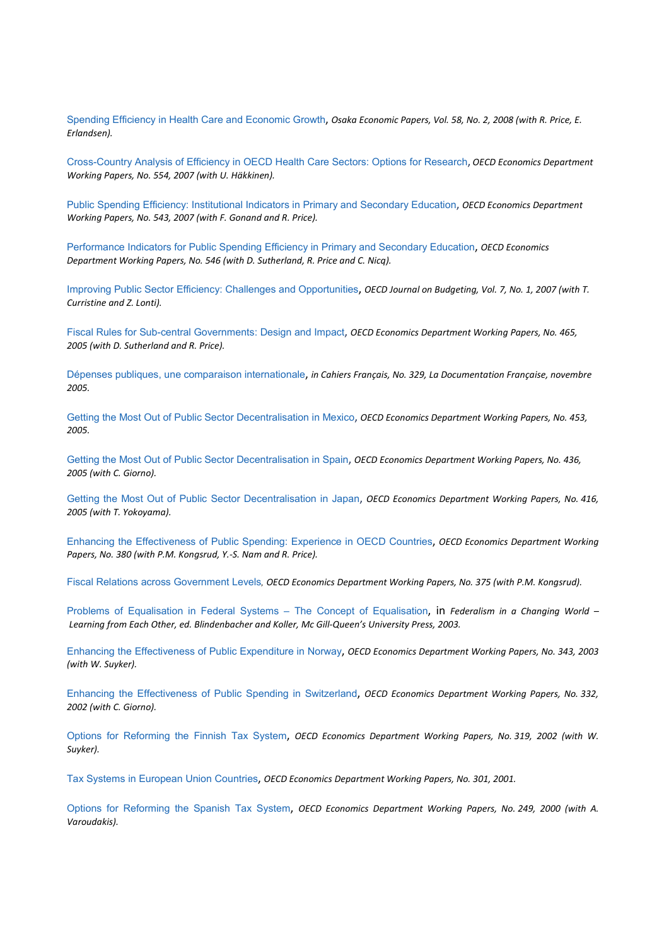Spending Efficiency in Health Care and Economic Growth, *Osaka Economic Papers, Vol. 58, No. 2, 2008 (with R. Price, E. Erlandsen).*

[Cross-Country Analysis of Efficiency in OECD Health Care Sectors: Options for Research](http://dx.doi.org/10.1787/178861806081), *OECD Economics Department Working Papers, No. 554, 2007 (with U. Häkkinen).*

[Public Spending Efficiency: Institutional Indicators in Primary and Secondary Education](http://dx.doi.org/10.1787/315010655867), *OECD Economics Department Working Papers, No. 543, 2007 (with F. Gonand and R. Price).*

[Performance Indicators for Public Spending Efficiency in Primary and Secondary](http://dx.doi.org/10.1787/285006168603) Education, *OECD Economics Department Working Papers, No. 546 (with D. Sutherland, R. Price and C. Nicq).*

Improving Public Sector Efficiency: Challenges and Opportunities, *OECD Journal on Budgeting, Vol. 7, No. 1, 2007 (with T. Curristine and Z. Lonti).*

[Fiscal Rules for Sub-central Governments: Design and Impact](http://dx.doi.org/10.1787/606015633336), *OECD Economics Department Working Papers, No. 465, 2005 (with D. Sutherland and R. Price).*

Dépenses publiques, [une comparaison internationale](http://www.ladocumentationfrancaise.fr/auteurs/joumard.shtml), *in Cahiers Français, No. 329, La Documentation Française, novembre 2005.* 

[Getting the Most Out of Public Sector Decentralisation in Mexico](http://dx.doi.org/10.1787/881825436538), *OECD Economics Department Working Papers, No. 453, 2005.*

[Getting the Most Out of Public Sector Decentralisation in Spain](http://dx.doi.org/10.1787/838564110008), *OECD Economics Department Working Papers, No. 436, 2005 (with C. Giorno).*

[Getting the Most Out of Public Sector Decentralisation in Japan](http://dx.doi.org/10.1787/123441886722), *OECD Economics Department Working Papers, No. 416, 2005 (with T. Yokoyama).* 

[Enhancing the Effectiveness of Public Spending: Experience in OECD Countries](http://dx.doi.org/10.1787/355505224723), *OECD Economics Department Working Papers, No. 380 (with P.M. Kongsrud, Y.-S. Nam and R. Price).*

[Fiscal Relations across Government Levels](http://dx.doi.org/10.1787/455513871742)*, OECD Economics Department Working Papers, No. 375 (with P.M. Kongsrud).* 

[Problems of Equalisation in Federal Systems –](http://books.google.fr/books?id=MiSiBRd172IC&pg=PA471&lpg=PA471&dq=Problems+of+equalisation+in+federal+systems+%E2%80%93+the+concept+of+equalisation%3Bjoumard&source=web&ots=B-3nz3UcBk&sig=cO2tjCR2xC3jN-TY036Xc_NZB4g&hl=fr) The Concept of Equalisation, in *Federalism in a Changing World – Learning from Each Other, ed. Blindenbacher and Koller, Mc Gill-Queen's University Press, 2003.*

[Enhancing the Effectiveness of Public Expenditure in Norway](http://dx.doi.org/10.1787/861731021201), *OECD Economics Department Working Papers, No. 343, 2003 (with W. Suyker).*

[Enhancing the Effectiveness of Public Spending in Switzerland](http://dx.doi.org/10.1787/735416271177), *OECD Economics Department Working Papers, No. 332, 2002 (with C. Giorno).* 

[Options for Reforming the Finnish Tax System](http://dx.doi.org/10.1787/148170527338), *OECD Economics Department Working Papers, No. 319, 2002 (with W. Suyker).*

[Tax Systems in European Union Countries](http://dx.doi.org/10.1787/785648484253), *OECD Economics Department Working Papers, No. 301, 2001.*

[Options for Reforming the Spanish Tax System](http://dx.doi.org/10.1787/406268363588), *OECD Economics Department Working Papers, No. 249, 2000 (with A. Varoudakis).*